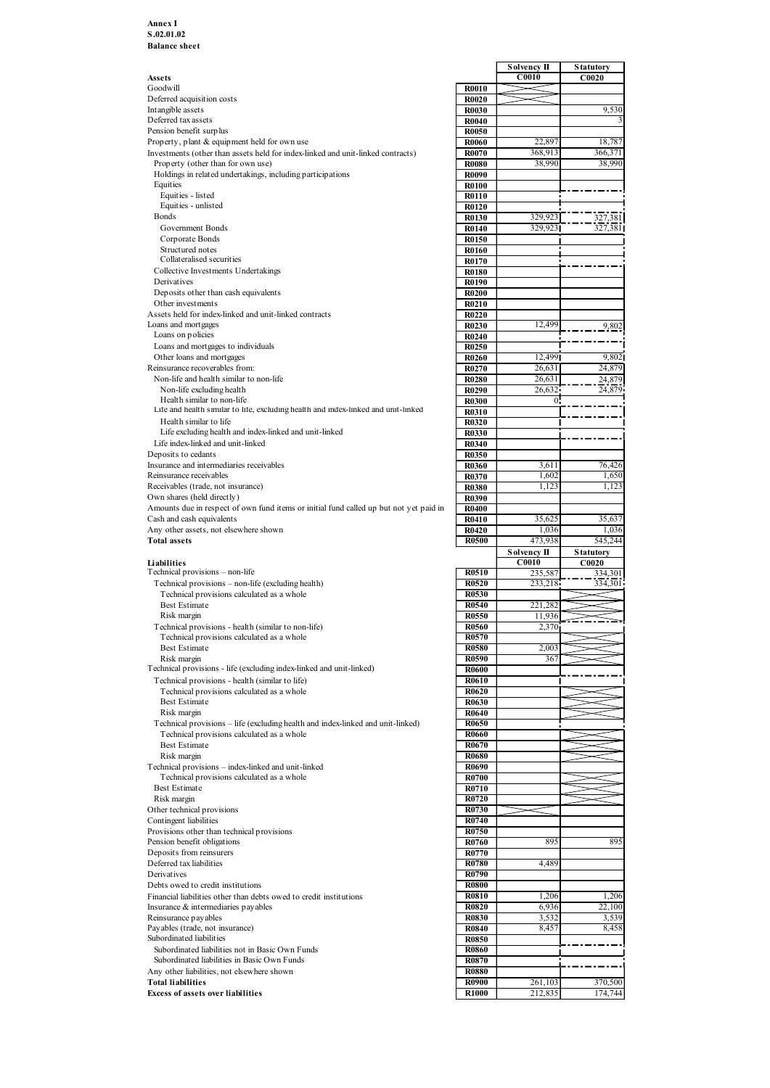#### Annex I S.02.01.02 Balance sheet

|                                                                                        |              | Solvency II        | <b>Statutory</b> |
|----------------------------------------------------------------------------------------|--------------|--------------------|------------------|
| Assets                                                                                 |              | C0010              | C0020            |
| Goodwill<br>Deferred acquisition costs                                                 | <b>R0010</b> |                    |                  |
|                                                                                        | <b>R0020</b> |                    |                  |
| Intangible assets                                                                      | <b>R0030</b> |                    | 9,530            |
| Deferred tax assets                                                                    | <b>R0040</b> |                    |                  |
| Pension benefit surplus                                                                | <b>R0050</b> |                    |                  |
| Property, plant & equipment held for own use                                           | <b>R0060</b> | 22,897             | 18,787           |
| Investments (other than assets held for index-linked and unit-linked contracts)        | <b>R0070</b> | 368,913            | 366,371          |
| Property (other than for own use)                                                      | <b>R0080</b> | 38,990             | 38,990           |
| Holdings in related undertakings, including participations                             | <b>R0090</b> |                    |                  |
| Equities                                                                               | <b>R0100</b> |                    |                  |
| Equities - listed                                                                      | <b>R0110</b> |                    |                  |
| Equities - unlisted                                                                    | R0120        |                    |                  |
| Bonds                                                                                  | R0130        | 329,923            | 327,381          |
| Government Bonds                                                                       | <b>R0140</b> | 329,923            | 327,381          |
| Corporate Bonds                                                                        | R0150        |                    |                  |
| Structured notes                                                                       | R0160        |                    |                  |
| Collateralised securities                                                              | R0170        |                    |                  |
| Collective Investments Undertakings                                                    | <b>R0180</b> |                    |                  |
| Derivatives                                                                            | R0190        |                    |                  |
| Deposits other than cash equivalents                                                   | <b>R0200</b> |                    |                  |
| Other investments                                                                      | R0210        |                    |                  |
| Assets held for index-linked and unit-linked contracts                                 |              |                    |                  |
|                                                                                        | <b>R0220</b> |                    |                  |
| Loans and mortgages                                                                    | R0230        | 12,499             | 9,802            |
| Loans on policies                                                                      | <b>R0240</b> |                    |                  |
| Loans and mortgages to individuals                                                     | R0250        |                    |                  |
| Other loans and mortgages                                                              | <b>R0260</b> | 12,499             | 9,802            |
| Reinsurance recoverables from:                                                         | R0270        | 26,631             | 24,879           |
| Non-life and health similar to non-life                                                | <b>R0280</b> | 26,631             | 24,879           |
| Non-life excluding health                                                              | R0290        | 26,632             | 24,879           |
| Health similar to non-life                                                             | <b>R0300</b> | $\Omega$           |                  |
| Life and health similar to life, excluding health and index-linked and unit-linked     | R0310        |                    |                  |
| Health similar to life                                                                 | <b>R0320</b> |                    |                  |
| Life excluding health and index-linked and unit-linked                                 | <b>R0330</b> |                    |                  |
| Life index-linked and unit-linked                                                      | <b>R0340</b> |                    |                  |
| Deposits to cedants                                                                    | R0350        |                    |                  |
| Insurance and intermediaries receivables                                               | <b>R0360</b> | 3,611              | 76,426           |
| Reinsurance receivables                                                                | R0370        | 1,602              | 1,650            |
| Receivables (trade, not insurance)                                                     | <b>R0380</b> | 1,123              | 1,123            |
|                                                                                        |              |                    |                  |
| Own shares (held directly)                                                             | R0390        |                    |                  |
| Amounts due in respect of own fund items or initial fund called up but not yet paid in | <b>R0400</b> |                    |                  |
| Cash and cash equivalents                                                              | R0410        | 35,625             | 35,637           |
| Any other assets, not elsewhere shown                                                  | R0420        | 1,036              | 1,036            |
| <b>Total assets</b>                                                                    | <b>R0500</b> | 473,938            | 545,244          |
|                                                                                        |              | <b>Solvency II</b> | <b>Statutory</b> |
| Liabilities                                                                            |              | C0010              | C0020            |
| Technical provisions - non-life                                                        | R0510        | 235,587            | 334,301          |
| Technical provisions - non-life (excluding health)                                     | R0520        | 233,218            | 334,301          |
| Technical provisions calculated as a whole                                             | R0530        |                    |                  |
| <b>Best Estimate</b>                                                                   | R0540        | 221,282            |                  |
| Risk margin                                                                            | R0550        | 11,936             |                  |
| Technical provisions - health (similar to non-life)                                    | R0560        | 2,370              |                  |
| Technical provisions calculated as a whole                                             | R0570        |                    |                  |
| <b>Best Estimate</b>                                                                   | <b>R0580</b> | 2,003              |                  |
|                                                                                        |              |                    |                  |
| Risk margin                                                                            | R0590        | 367                |                  |
| Technical provisions - life (excluding index-linked and unit-linked)                   | R0600        |                    |                  |
| Technical provisions - health (similar to life)                                        | R0610        |                    |                  |
| Technical provisions calculated as a whole                                             | R0620        |                    |                  |
| <b>Best Estimate</b>                                                                   | R0630        |                    |                  |
| Risk margin                                                                            | <b>R0640</b> |                    |                  |
| Technical provisions – life (excluding health and index-linked and unit-linked)        | R0650        |                    |                  |
| Technical provisions calculated as a whole                                             | <b>R0660</b> |                    |                  |
| <b>Best Estimate</b>                                                                   | R0670        |                    |                  |
| Risk margin                                                                            | <b>R0680</b> |                    |                  |
|                                                                                        | <b>R0690</b> |                    |                  |
| Technical provisions - index-linked and unit-linked                                    |              |                    |                  |
| Technical provisions calculated as a whole                                             | <b>R0700</b> |                    |                  |
| Best Estimate                                                                          | R0710        |                    |                  |
| Risk margin                                                                            | R0720        |                    |                  |
| Other technical provisions                                                             | R0730        |                    |                  |
| Contingent liabilities                                                                 | R0740        |                    |                  |
| Provisions other than technical provisions                                             | R0750        |                    |                  |
| Pension benefit obligations                                                            | R0760        | 895                | 895              |
| Deposits from reinsurers                                                               | <b>R0770</b> |                    |                  |
| Deferred tax liabilities                                                               | R0780        | 4,489              |                  |
| Derivatives                                                                            | R0790        |                    |                  |
| Debts owed to credit institutions                                                      | <b>R0800</b> |                    |                  |
| Financial liabilities other than debts owed to credit institutions                     | <b>R0810</b> | 1,206              | 1,206            |
|                                                                                        |              |                    |                  |
| Insurance & intermediaries payables                                                    | <b>R0820</b> | 6,936              | 22,100           |
| Reinsurance payables                                                                   | R0830        | 3,532              | 3,539            |
| Payables (trade, not insurance)                                                        | R0840        | 8,457              | 8,458            |
| Subordinated liabilities                                                               | R0850        |                    |                  |
| Subordinated liabilities not in Basic Own Funds                                        | <b>R0860</b> |                    |                  |
| Subordinated liabilities in Basic Own Funds                                            | <b>R0870</b> |                    |                  |
| Any other liabilities, not elsewhere shown                                             | <b>R0880</b> |                    |                  |
| <b>Total liabilities</b>                                                               | <b>R0900</b> | 261,103            | 370,500          |
| <b>Excess of assets over liabilities</b>                                               | <b>R1000</b> | 212,835            | 174,744          |
|                                                                                        |              |                    |                  |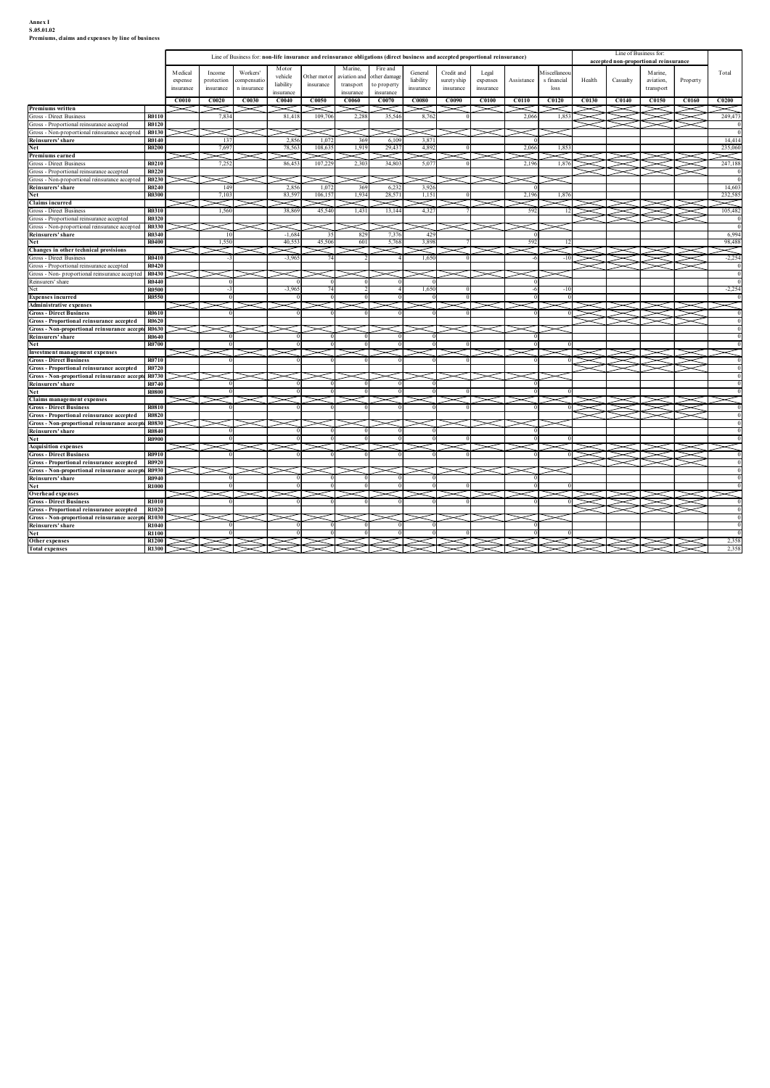# Annex I<br>S.05.01.02<br>Premiums, claims and expenses by line of business

| Annex I<br>S.05.01.02<br>Premiums, claims and expenses by line of business                            |                              |                     |                      |                                                                                                                              |                        |                             |                         |                          |                         |                          |                   |                           |                              |          |                               |                                       |                            |                               |
|-------------------------------------------------------------------------------------------------------|------------------------------|---------------------|----------------------|------------------------------------------------------------------------------------------------------------------------------|------------------------|-----------------------------|-------------------------|--------------------------|-------------------------|--------------------------|-------------------|---------------------------|------------------------------|----------|-------------------------------|---------------------------------------|----------------------------|-------------------------------|
|                                                                                                       |                              |                     |                      |                                                                                                                              |                        |                             |                         |                          |                         |                          |                   |                           |                              |          |                               |                                       |                            |                               |
|                                                                                                       |                              |                     |                      | Line of Business for: non-life insurance and reinsurance obligations (direct business and accepted proportional reinsurance) |                        |                             |                         |                          |                         |                          |                   |                           |                              |          | Line of Business for:         | accepted non-proportional reinsurance |                            |                               |
|                                                                                                       |                              | M edical<br>expense | Income<br>protection | Workers'<br>compensatio                                                                                                      | Motor<br>vehicle       | Other motor                 | Marine,<br>aviation and | Fire and<br>other damage | General<br>liability    | Credit and<br>suretyship | Legal<br>expenses | Assistance                | M iscellaneou<br>s financial | Health   | Casualty                      | Marine,<br>aviation,                  | Property                   | Total                         |
|                                                                                                       |                              | insurance           | insurance            | n insurance                                                                                                                  | liability<br>insurance | insurance                   | transport<br>insurance  | to property<br>insurance | insurance               | insurance                | insurance         |                           | loss                         |          |                               | transport                             |                            |                               |
| Premiums written<br>Gross - Direct Business                                                           | R0110                        | C0010               | C0020<br>7,834       | C0030                                                                                                                        | C0040<br>81,418        | C0050<br>$\asymp$<br>109,70 | C0060<br>2,288          | C0070<br>35,546          | <b>C0080</b><br>8.762   | C0090                    | <b>C0100</b>      | C0110<br>2,066            | <b>C0120</b><br>1,853        | C0130    | C <sub>0140</sub><br>$\times$ | <b>C0150</b><br>$\cong$               | <b>C0160</b><br>X          | C0200<br>$\ltimes$<br>249,473 |
| Gross - Proportional reinsurance accepted<br>Gross - Non-proportional reinsurance accepted R0130      | R0120                        |                     |                      | $\check{~}$                                                                                                                  |                        | $\asymp$                    |                         |                          |                         | $\prec$                  | $\check{~}$       | $\approx$ r               |                              |          |                               |                                       |                            |                               |
| Reinsurers' share<br>Net                                                                              | R0140<br><b>R0200</b>        |                     | -137<br>7,697        |                                                                                                                              | 2,856<br>78,563        | 1,07<br>108,63              | 369<br>1,919            | 6.10<br>29,43            | 3,871<br>4,892          |                          |                   | 2,066                     | 1,853                        |          |                               |                                       |                            | 14,414<br>235,060             |
| Premiums earned                                                                                       |                              |                     |                      |                                                                                                                              |                        |                             |                         |                          | ⋜                       |                          | ➢                 |                           |                              |          | $\ >$                         |                                       |                            | $\approx$                     |
| Gross - Direct Business<br>Gross - Proportional reinsurance accepted                                  | R0210<br>R0220               |                     | 7,25                 |                                                                                                                              | 86,45                  | 107,22                      | 2,303                   | 34,80                    | 5,077                   |                          |                   | 2,196                     | 1,876                        |          | ⋝⋜                            | ⋝⋛                                    |                            | 247,188                       |
| Gross - Non-proportional reinsurance accepted<br>Reinsurers' share                                    | R0230<br>R0240               |                     | 149                  |                                                                                                                              | 2,856                  | 1,07                        | 369                     | 6,23                     | 3,926                   |                          |                   |                           |                              |          |                               |                                       |                            | 14,603                        |
| Net<br><b>Claims incurred</b>                                                                         | <b>R0300</b>                 |                     | 7,10                 |                                                                                                                              | 83,59                  | 106,15                      | 1,934                   | 28,57                    | 1,151<br><              |                          |                   | 2,196<br>⊲                | 1,876                        |          |                               |                                       |                            | 232,585<br>$\asymp$           |
| Gross - Direct Business<br>Gross - Proportional reinsurance accepted                                  | R0310<br><b>R0320</b>        |                     | 1,560                |                                                                                                                              | 38,869                 | 45,540                      | 1,431                   | 13,144                   | 4,327                   |                          |                   | 592                       | 12 <sub>1</sub>              |          | ↘                             | SS ST                                 | $\geqslant$<br>$\check{~}$ | 105,482                       |
| Gross - Non-proportional reinsurance accepted<br>Reinsurers' share                                    | R0330<br>R0340               |                     |                      |                                                                                                                              | $-1,684$               |                             | 829                     | 7,37                     | 429                     |                          |                   | -0                        |                              |          |                               |                                       |                            | 6,994                         |
| Net                                                                                                   | <b>R0400</b>                 |                     | 1,55                 |                                                                                                                              | 40,55                  | 45,506                      | 601                     | 5,768                    | 3,898                   |                          |                   | 592                       | -12                          |          |                               |                                       |                            | 98,488                        |
| Changes in other technical provisions<br>Gross - Direct Business                                      | <b>R0410</b>                 | ≍                   | $\asymp$             |                                                                                                                              | Λ<br>$-3,965$          | ≍                           |                         | $\asymp$                 | A<br>1.650              | ≍                        |                   | $\gg$<br>$-6$             |                              | NASK     |                               |                                       | ≋                          | $\ltimes$<br>$-2,254$         |
| Gross - Proportional reinsurance accepted<br>Gross - Non- proportional reinsurance accepted   R0430   | R0420                        |                     |                      |                                                                                                                              |                        |                             |                         |                          | <⊤                      |                          | $\geqslant$       |                           |                              |          |                               |                                       |                            |                               |
| Reinsurers' share<br>Net                                                                              | R0440<br><b>R0500</b>        |                     |                      |                                                                                                                              | $-3,965$               |                             |                         |                          | $\overline{0}$<br>1,650 |                          |                   | $\overline{0}$<br>$-6$    | $-10$                        |          |                               |                                       |                            | $-2,254$                      |
| <b>Expenses incurred</b><br><b>Administrative expenses</b>                                            | <b>R0550</b>                 |                     | $\asymp$             | $>\!<$                                                                                                                       | $\approx$              | $\prec$                     | $\asymp$                | $\!$                     |                         |                          | $\prec$           | $\overline{0}$            |                              |          | $\ge$                         | $\ge$                                 | ▽                          | $\asymp$                      |
| <b>Gross - Direct Business</b><br>Gross - Proportional reinsurance accepted                           | R0610<br>R0620               |                     |                      |                                                                                                                              |                        |                             |                         |                          |                         |                          |                   | $\overline{0}$            |                              |          |                               |                                       |                            |                               |
| Gross - Non-proportional reinsurance accepte R0630<br>Reinsurers' share                               | <b>R0640</b>                 |                     |                      |                                                                                                                              |                        |                             |                         |                          |                         |                          |                   |                           |                              |          |                               |                                       |                            |                               |
| Net<br>Investment management expenses                                                                 | <b>R0700</b>                 |                     |                      | $\!$                                                                                                                         |                        |                             | $\!$                    | ➤                        | $\!$                    |                          |                   |                           |                              | ▽        | ▽                             |                                       | $\!$                       |                               |
| <b>Gross - Direct Business</b><br>Gross - Proportional reinsurance accepted R0720                     | R0710                        |                     |                      |                                                                                                                              |                        |                             |                         |                          |                         |                          |                   |                           |                              | $\Omega$ |                               | <del>⋟≷।⋟⋞।⋟⋞</del>                   |                            |                               |
| Gross - Non-proportional reinsurance accepte R0730                                                    | R0740                        |                     |                      |                                                                                                                              |                        |                             |                         |                          |                         |                          |                   |                           |                              |          |                               |                                       |                            |                               |
| Reinsurers' share<br>Net                                                                              | <b>R0800</b>                 |                     |                      |                                                                                                                              |                        |                             |                         |                          |                         |                          |                   |                           |                              |          |                               |                                       |                            |                               |
| <b>Claims</b> management expenses<br><b>Gross - Direct Business</b>                                   | R0810                        |                     | ➤                    | $\asymp$                                                                                                                     |                        | $\asymp$                    | $\check{~}$             | ➤                        | $\Omega$                | $\prec$                  | $\prec$           | $\asymp$ 11<br>$^{\circ}$ | $\Omega$                     |          | <b>SESSEN</b>                 | <b>SARIE</b>                          |                            |                               |
| Gross - Proportional reinsurance accepted R0820<br>Gross - Non-proportional reinsurance accepte R0830 |                              | ≍                   | $\check{~}$          | $\!$                                                                                                                         | $\!$                   | $\check{~}$                 | $\check{~}$             | ↘                        | $\check{~}$             |                          | ↘                 |                           |                              |          |                               |                                       |                            |                               |
| Reinsurers' share<br>Net                                                                              | <b>R0840</b><br><b>R0900</b> |                     |                      |                                                                                                                              |                        |                             |                         |                          |                         |                          |                   |                           |                              |          |                               |                                       |                            |                               |
| <b>Acquisition expenses</b><br><b>Gross - Direct Business</b>                                         | R0910                        |                     |                      |                                                                                                                              |                        |                             |                         |                          |                         |                          |                   |                           |                              |          | Š,                            |                                       |                            |                               |
| Gross - Proportional reinsurance accepted R0920<br>Gross - Non-proportional reinsurance accepte R0930 |                              |                     |                      |                                                                                                                              |                        |                             |                         |                          |                         |                          |                   |                           |                              |          |                               |                                       |                            |                               |
| Reinsurers' share<br>Net                                                                              | R0940<br><b>R1000</b>        |                     |                      |                                                                                                                              |                        |                             |                         |                          |                         |                          |                   |                           |                              |          |                               |                                       |                            |                               |
| Overhead expenses                                                                                     |                              |                     |                      |                                                                                                                              |                        |                             |                         |                          |                         |                          |                   |                           |                              |          |                               |                                       |                            |                               |
| <b>Gross - Direct Business</b><br>Gross - Proportional reinsurance accepted                           | R1010<br>R1020               |                     |                      |                                                                                                                              |                        |                             |                         |                          |                         |                          |                   |                           |                              |          |                               |                                       |                            |                               |
| Gross - Non-proportional reinsurance accepte R1030<br>Reinsurers' share                               | R1040                        | $\asymp$            |                      |                                                                                                                              |                        |                             | $>\!<$                  |                          |                         | $\asymp$                 |                   | $\mathbf{0}$              |                              |          |                               |                                       |                            |                               |
| Net<br>Other expenses                                                                                 | R1100<br>R1200               |                     |                      |                                                                                                                              |                        |                             |                         |                          | $\Omega$                |                          |                   | $\Omega$<br>$\le$         |                              | $\asymp$ | $\!$                          | ><                                    |                            | 2,358                         |
| <b>Total</b> expenses                                                                                 | <b>R1300</b>                 |                     |                      |                                                                                                                              |                        |                             |                         |                          |                         |                          |                   |                           |                              |          |                               |                                       |                            | 2,358                         |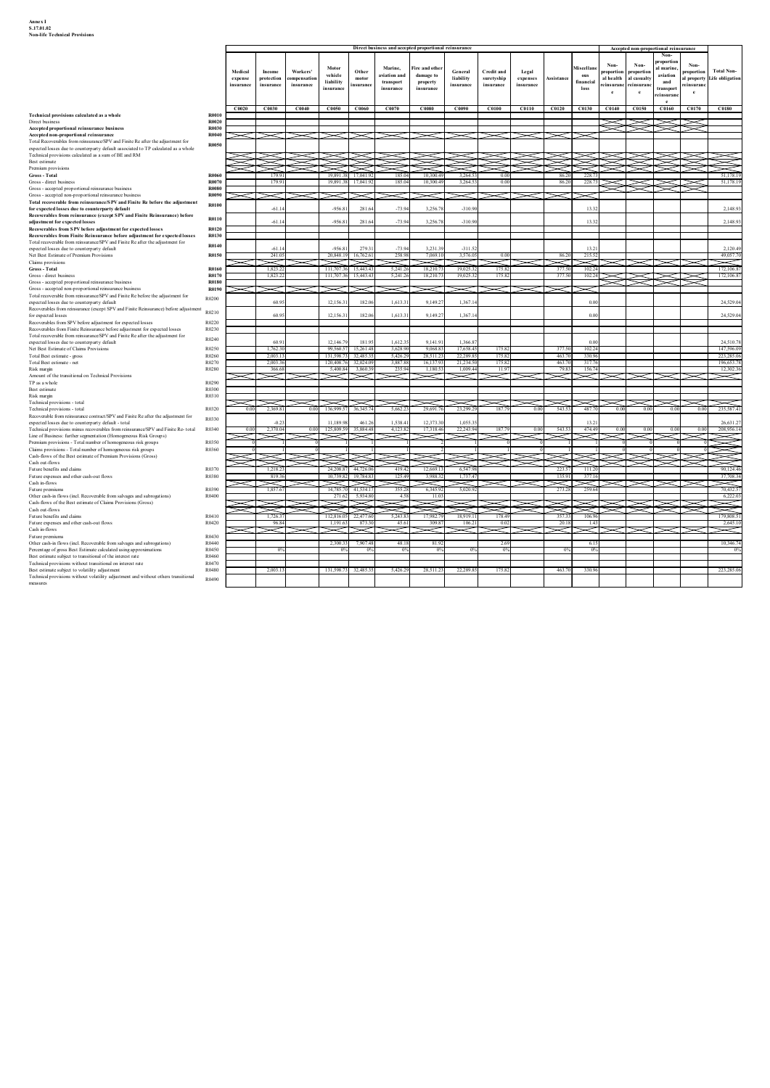| S.17.01.02                           |  |
|--------------------------------------|--|
| <b>Non-life Technical Provisions</b> |  |

| Annex I<br>S.17.01.02<br><b>Non-life Technical Provisions</b>                                                                                                                                                                |                                      |                    |                              |                        |                                                           |                    |                                |                                                       |                                   |                                 |                   |                            |                                                |                          |                           |                                       |              |                                                 |
|------------------------------------------------------------------------------------------------------------------------------------------------------------------------------------------------------------------------------|--------------------------------------|--------------------|------------------------------|------------------------|-----------------------------------------------------------|--------------------|--------------------------------|-------------------------------------------------------|-----------------------------------|---------------------------------|-------------------|----------------------------|------------------------------------------------|--------------------------|---------------------------|---------------------------------------|--------------|-------------------------------------------------|
|                                                                                                                                                                                                                              |                                      |                    |                              |                        |                                                           |                    |                                |                                                       |                                   |                                 |                   |                            |                                                |                          |                           |                                       |              |                                                 |
|                                                                                                                                                                                                                              |                                      |                    |                              |                        |                                                           |                    |                                |                                                       |                                   |                                 |                   |                            |                                                |                          |                           |                                       |              |                                                 |
|                                                                                                                                                                                                                              |                                      |                    |                              |                        |                                                           |                    |                                |                                                       |                                   |                                 |                   |                            |                                                |                          |                           |                                       |              |                                                 |
|                                                                                                                                                                                                                              |                                      |                    |                              |                        |                                                           |                    |                                |                                                       |                                   |                                 |                   |                            |                                                |                          |                           |                                       |              |                                                 |
|                                                                                                                                                                                                                              |                                      |                    |                              |                        |                                                           |                    |                                |                                                       |                                   |                                 |                   |                            |                                                |                          |                           |                                       |              |                                                 |
|                                                                                                                                                                                                                              |                                      |                    |                              |                        |                                                           |                    |                                |                                                       |                                   |                                 |                   |                            |                                                |                          |                           |                                       |              |                                                 |
|                                                                                                                                                                                                                              |                                      |                    |                              |                        |                                                           |                    |                                |                                                       |                                   |                                 |                   |                            |                                                |                          |                           |                                       |              |                                                 |
|                                                                                                                                                                                                                              |                                      |                    |                              |                        |                                                           |                    |                                |                                                       |                                   |                                 |                   |                            |                                                |                          |                           |                                       |              |                                                 |
|                                                                                                                                                                                                                              |                                      |                    |                              |                        |                                                           |                    |                                | Direct business and accepted proportional reinsurance |                                   |                                 |                   |                            |                                                |                          |                           | Accepted non-proportional reinsurance |              |                                                 |
|                                                                                                                                                                                                                              |                                      |                    |                              |                        |                                                           |                    |                                |                                                       |                                   |                                 |                   |                            |                                                | Non-                     | Non-                      | Non-<br>proportio                     | Non-         |                                                 |
|                                                                                                                                                                                                                              |                                      | Medical<br>expense | Income<br>protection         | Workers'<br>ompensatio | Motor<br>vehicle<br>liability                             | Other<br>motor     | Marine.<br>aviation and        | <b>Fire and other</b><br>damage to                    | General<br>liability              | <b>Credit and</b><br>suretyship | Legal<br>expenses | Assistance                 | <b>Miscellan</b><br>$_{\rm{ous}}$<br>financial | roportion<br>al health   | proportion<br>al casualty | al marine<br>aviation<br>and          | roportion    | <b>Total Non-</b><br>I property Life obligation |
|                                                                                                                                                                                                                              |                                      | insurance          | insurance                    | insurance              | nsuranc                                                   | suranc             | transport<br>insurance         | property<br>insurance                                 | insurance                         | insurance                       | insurance         |                            | loss                                           | insuranc<br>$\mathbf{e}$ | reinsurano                | transpor<br>insura                    | insuran<br>e |                                                 |
|                                                                                                                                                                                                                              |                                      | C0020              | C0030                        | C0040                  | C0050                                                     | C0060              | C0070                          | C0080                                                 | C0090                             | C0100                           |                   |                            |                                                |                          |                           | $\mathbf{r}$<br>C0160                 | C0170        | C0180                                           |
| Technical provisions calculated as a whole<br>Direct business<br>Accepted proportional reinsurance business                                                                                                                  | <b>R0010</b><br>R0020<br>R0030       |                    |                              |                        |                                                           |                    |                                |                                                       |                                   |                                 |                   |                            |                                                |                          |                           | ➤                                     | $\checkmark$ |                                                 |
| Accepted non-proportional reinsurance<br>Total Recoverables from reinsurance/SPV and Finite Re after the adjustment for                                                                                                      | R0040<br><b>R0050</b>                | $>\!\!<$ $\!\!<$   |                              |                        |                                                           |                    |                                |                                                       |                                   |                                 |                   |                            |                                                |                          |                           |                                       |              |                                                 |
| expected losses due to counterparty default associated to TP calculated as a whole<br>Technical provisions calculated as a sum of BE and RM                                                                                  |                                      |                    |                              |                        |                                                           |                    |                                |                                                       |                                   |                                 |                   |                            |                                                |                          |                           |                                       |              |                                                 |
| Best estimate<br>Premium provisions                                                                                                                                                                                          |                                      |                    |                              |                        |                                                           |                    |                                |                                                       |                                   |                                 |                   |                            |                                                |                          |                           |                                       |              |                                                 |
| Gross - Total<br>Gross - direct business<br>Gross - accepted proportional reinsurance business                                                                                                                               | <b>R006</b><br>R0070<br><b>R0080</b> |                    | 1799<br>1799                 |                        | 19.891<br>17.041.<br>19,891.3<br>17.041                   |                    | 185.04<br>185.04               | 10.300.4<br>10,300.4                                  | 3.264<br>3.264.5                  | 00<br>0 <sub>0</sub>            |                   | 86.2<br>86.20              | 228.7<br>228.7                                 |                          |                           |                                       |              | 51 178 19<br>51,178.19                          |
| Gross - accepted non-proportional reinsurance business<br>Total recoverable from reinsurance/SPV and Finite Re before the adjustment                                                                                         | R0090<br>R0100                       |                    |                              |                        |                                                           |                    |                                |                                                       |                                   |                                 |                   |                            |                                                |                          |                           |                                       |              |                                                 |
| for expected losses due to counterparty default<br>Recoverables from reinsurance (except SPV and Finite Reinsurance) before                                                                                                  | R0110                                |                    | $-61.1$                      |                        | $-956.81$                                                 | 281.6              | $-73.94$                       | 3,256.7                                               | $-31090$                          |                                 |                   |                            | 13.32                                          |                          |                           |                                       |              | 2,148.93                                        |
| adjustment for expected losses<br>Recoverables from SPV before adjustment for expected losses                                                                                                                                | R0120                                |                    | $-61.1$                      |                        | $-956.81$                                                 | 281.6              | $-73.94$                       | 3,256.7                                               | $-31090$                          |                                 |                   |                            | 13.32                                          |                          |                           |                                       |              | 2,148.93                                        |
| Recoverables from Finite Reinsurance before adjustment for expected losses<br>Total recoverable from reinsurance/SPV and Finite Re after the adjustment for<br>expected losses due to counterparty default                   | R0130<br>R0140                       |                    | $-61.1$                      |                        | $-956.81$                                                 | 279.3              | $-73.94$                       | 3,231.3                                               | $-311.52$                         |                                 |                   |                            | 13.21                                          |                          |                           |                                       |              | 2,120.49                                        |
| Net Best Estimate of Premium Provisions<br>Claims provisions                                                                                                                                                                 | R0150                                |                    | 241.05<br>X                  |                        | 20,848.19<br>16.762.6<br>$\check{~}$                      |                    | 258.98                         | 7.069.1                                               | 3.576.0                           | 00                              |                   | 86.2                       | 215.52<br>≂                                    |                          |                           |                                       |              | 49,057.70<br>X                                  |
| Gross - Total<br>Gross - direct business                                                                                                                                                                                     | R0160<br>R0170                       |                    | 1,823.2<br>1,823.2           |                        | 111,707.3<br>111,707.36<br>15,443.4                       | 15,443.4           | 5,241.26<br>5,241.26           | 18,210.<br>18,210.                                    | 19,025.<br>19,025.3               | 175.82<br>175.82                |                   | 377.5<br>377.50            | 102.24<br>102.24                               |                          |                           |                                       |              | 172,106.8<br>172,106.87                         |
| Gross - accepted proportional reinsurance business<br>Gross - accepted non-proportional reinsurance business                                                                                                                 | <b>R0180</b><br>R0190                | $\!<\!$            | $\checkmark$                 |                        |                                                           |                    | $\breve{~}$                    |                                                       |                                   |                                 |                   |                            |                                                |                          |                           |                                       |              |                                                 |
| Total recoverable from reinsurance/SPV and Finite Re before the adjustment for<br>expected losses due to counterparty default                                                                                                | R0200                                |                    | 60.9                         |                        | 12,156.31                                                 | 182.06             | 1,613.31                       | 9,149.2                                               | 1,367.14                          |                                 |                   |                            | 0.00                                           |                          |                           |                                       |              | 24,529.04                                       |
| Recoverables from reinsurance (except SPV and Finite Reinsurance) before adjustment<br>for expected losses<br>Recoverables from SPV before adjustment for expected losses                                                    | R0210<br>R0220                       |                    | 60.9                         |                        | 12,156.3                                                  | 182.0              | 1,613.3                        | 9,149.2                                               | 1,367.1                           |                                 |                   |                            | $_{0.0}$                                       |                          |                           |                                       |              | 24,529.04                                       |
| Recoverables from Finite Reinsurance before adjustment for expected losses<br>Total recoverable from reinsurance/SPV and Finite Re after the adjustment for                                                                  | R0230<br>R0240                       |                    |                              |                        |                                                           |                    |                                |                                                       |                                   |                                 |                   |                            |                                                |                          |                           |                                       |              |                                                 |
| expected losses due to counterparty default<br>Net Best Estimate of Claims Provisions                                                                                                                                        | R0250                                |                    | 60.9                         |                        | 12,146.7                                                  | 181.9              | 1,612.35                       | 9.141.9                                               | 1.366.8                           |                                 |                   |                            | 0.00                                           |                          |                           |                                       |              | 24,510.78                                       |
| Total Best estimate - gross<br>Total Best estimate - net                                                                                                                                                                     | R0260<br>R0270<br>R0280              |                    | 2,003.1<br>2,003.3<br>366.68 |                        | 131 598 7<br>32.485<br>120,408.76<br>5.400.84 3.860.3     | 32,024.0           | 5.426.29<br>3,887.88<br>235.94 | 28.511.<br>16,137.9<br>1.180.5                        | 22.289.8<br>21,234.50<br>1,009.44 | 175.83<br>175.82<br>11.9        |                   | 463.70<br>463.70<br>79.83  | 330.96<br>317.76<br>156.74                     |                          |                           |                                       |              | 223,285.06<br>196,653.78<br>12,302.36           |
| Risk margin<br>Amount of the transitional on Technical Provisions<br>TP as a whole                                                                                                                                           | R0290                                |                    | $\approx$                    |                        | ≂<br>$\checkmark$                                         |                    | ▱                              |                                                       | $\!=$                             | ⇁                               |                   | ⋝⋜                         | $\approx$                                      |                          |                           |                                       |              | $>\!<$                                          |
| Best estimate<br>Risk margin                                                                                                                                                                                                 | R0300<br>R0310                       |                    |                              |                        |                                                           |                    |                                |                                                       |                                   |                                 |                   |                            |                                                |                          |                           |                                       |              |                                                 |
| Technical provisions - total<br>Technical provisions - total                                                                                                                                                                 | R0320                                | ≍<br>0.00          | 2.369.81                     |                        | 0.00 136,999.57<br>36, 345.7                              |                    | $\asymp$<br>5,662.23           | 29,691.7                                              | 23,299.29                         | 187.79                          | 0.00              | 543.53                     | 3>3>3><br>487.70                               | 0.00                     | ~<br>0.00                 | ⊂ । ><<br>0.00                        | 0.00         | ➤<br>235,587.41                                 |
| Recoverable from reinsurance contract/SPV and Finite Re after the adjustment for<br>expected losses due to counterparty default - total<br>Technical provisions minus recoverables from reinsurance/SPV and Finite Re- total | R0330<br>R0340                       | 0.00               | $-0.2$<br>2.370.0            | 0.00                   | 11,189.98<br>125,809.59                                   | 461.2<br>35 884 48 | 1,538.41<br>4,123.82           | 12,373.3<br>17,318.4                                  | 1,055.35<br>22,243.94             | 1877                            | 0.00              | 543.57                     | 13.21<br>474.49                                | 0.00                     | 0.00                      |                                       | 0.00         | 26,631.27<br>208,956.14                         |
| Line of Business: further segmentation (Homogeneous Risk Groups)<br>Premium provisions - Total number of homogeneous risk groups                                                                                             | R0350                                |                    |                              |                        |                                                           |                    |                                |                                                       | K                                 |                                 |                   |                            |                                                |                          |                           |                                       |              | N                                               |
| Claims provisions - Total number of homogeneous risk groups<br>Cash-flows of the Best estimate of Premium Provisions (Gross)                                                                                                 | R0360                                |                    |                              |                        |                                                           |                    |                                |                                                       |                                   |                                 |                   |                            |                                                |                          |                           |                                       |              |                                                 |
| Cash out-flows<br>Future benefits and claims                                                                                                                                                                                 | R0370                                |                    | 1.218.2                      |                        | 24,208.87<br>44,726.0                                     |                    | 419.42                         | 12,669.                                               | 6.547.98                          |                                 |                   | 223.57                     | 111.20                                         |                          |                           |                                       |              | 90.124.46                                       |
| Future expenses and other cash-out flows<br>Cash in-flows<br>Future premiums                                                                                                                                                 | R0380<br>R0390                       |                    | 819.3<br>X<br>1,857.6        |                        | 10.739.82<br>19.784.8<br>$\breve{~}$<br>14.785.<br>41.534 | $\prec$            | 125.49<br>355.2                | 3 988<br>6.345.9                                      | 17374<br>Å<br>5,020.9             |                                 |                   | 135.91<br>$\,<\,$<br>273.2 | 37716<br>$\ltimes$<br>259.64                   |                          |                           |                                       |              | 37,708.34<br>≂<br>70,432.5                      |
| Other cash-in flows (incl. Recoverable from salvages and subrogations)<br>Cash-flows of the Best estimate of Claims Provisions (Gross)                                                                                       | R0400                                |                    |                              |                        | 271.62<br>$\asymp$<br>$\!$                                | 5,934.8            | 4.58                           | $\overline{11}$                                       |                                   |                                 |                   |                            |                                                |                          |                           |                                       |              | 6,222.0                                         |
| Cash out-flows<br>Future benefits and claims                                                                                                                                                                                 | R0410                                |                    | ≋<br>1.7263                  |                        | 112.816.05<br>22 477 6                                    |                    | 5.243.83                       | 17.982.                                               | 18,919.11                         | 178.49                          |                   | 35733                      | 106.96                                         |                          |                           |                                       |              | Ź<br>179,808.51                                 |
| Future expenses and other cash-out flows<br>Cash in-flows                                                                                                                                                                    | R0420                                |                    | 96.84                        |                        | 1,191.63<br>$\geqslant$                                   | 873.               | 45.61                          | 309.8                                                 | 106.21                            | 0.0                             |                   | 20.18                      | 1.43<br>K                                      |                          |                           |                                       |              | 2,645.10<br>$\asymp$                            |
| Future premiums<br>Other cash-in flows (incl. Recoverable from salvages and subrogations)                                                                                                                                    | R0430<br>R0440                       |                    |                              |                        | 2,300.33                                                  | 7,907.48           | 48.18                          | 81.9                                                  |                                   | 2.69                            |                   |                            | 6.15                                           |                          |                           |                                       |              | 10,346.74                                       |
| Percentage of gross Best Estimate calculated using approximations<br>Best estimate subject to transitional of the interest rate<br>Technical provisions without transitional on interest rate                                | R0450<br>R0460<br>R0470              |                    |                              |                        | 0 <sup>9</sup>                                            |                    | $0\%$                          |                                                       |                                   | 0 <sup>0</sup>                  |                   | 0%                         | $0\%$                                          |                          |                           |                                       |              | 0 <sup>o</sup>                                  |
| Best estimate subject to volatility adjustment<br>Technical provisions without volatility adjustment and without others transitional                                                                                         | R0480                                |                    | 2,003.1                      |                        | 131,598.73<br>32,485.3                                    |                    | 5,426.29                       | 28,511.2                                              | 22,289.85                         | 175.82                          |                   | 463.70                     | 330.96                                         |                          |                           |                                       |              | 223,285.06                                      |
|                                                                                                                                                                                                                              | R0490                                |                    |                              |                        |                                                           |                    |                                |                                                       |                                   |                                 |                   |                            |                                                |                          |                           |                                       |              |                                                 |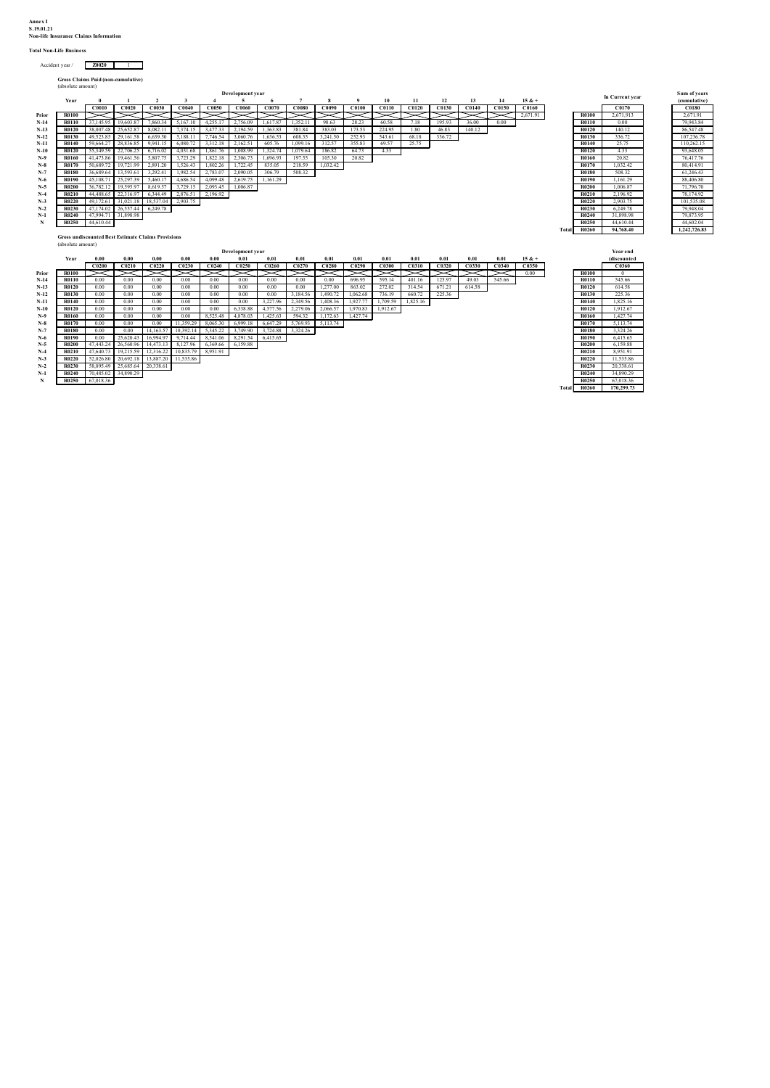Annex I S.19.01.21 Non-life Insurance Claims Information

#### Total Non-Life Business

| Accident year / | 70020 |  |
|-----------------|-------|--|
|                 |       |  |

| Gross Claims Paid (non-cumulative) |
|------------------------------------|
| (absolute amount)                  |

|              |           |                                          |           |          |                                                           |          |          |                                             |          |        |        |       |           |        |       |          |          |              |             |                 | Sum of years |
|--------------|-----------|------------------------------------------|-----------|----------|-----------------------------------------------------------|----------|----------|---------------------------------------------|----------|--------|--------|-------|-----------|--------|-------|----------|----------|--------------|-------------|-----------------|--------------|
| Year         |           |                                          |           |          |                                                           |          |          |                                             | 8        |        | 10     | 11    | 12        | 13     | 14    |          |          |              |             |                 | (cumulative) |
|              | C0010     | C0020                                    | C0030     | C0040    | C0050                                                     | C0060    | C0070    | C0080                                       | C0090    | C0100  | C0110  | C0120 | C0130     | C0140  | C0150 | C0160    |          |              | C0170       |                 | C0180        |
| R0100        |           |                                          |           |          |                                                           |          |          |                                             |          |        |        |       |           |        |       | 2,671.91 |          | <b>R0100</b> | 2,671,913   |                 | 2.671.91     |
| R0110        | 37,145.95 | 19,603.87                                | 7,860.34  | 5,167.10 | 4,255.17                                                  | 2,756.09 | 1,617.87 | 1,352.11                                    | 98.63    | 28.23  | 60.58  | 7.18  | 195.93    | 36.00  | 0.00  |          |          | R0110        | 0.00        |                 | 79,943.84    |
| R0120        | 38,007.48 | 25,652.87                                | 8,082.11  | 7,374.15 | 3,477.33                                                  | 2,194.59 | 1,363.83 | 381.84                                      | 383.03   | 173.53 | 224.95 | 1.80  | 46.83     | 140.12 |       |          |          | <b>R0120</b> | 140.12      |                 | 86,547.48    |
| R0130        | 49,523.85 | 29,161.58                                | 6,639.50  | 5,188.11 | 7,746.54                                                  | 3,060.76 | 1,636.53 | 608.35                                      | 3,241.50 | 252.93 | 543.61 | 68.18 | 336.72    |        |       |          |          | R0130        | 336.72      |                 | 107.236.78   |
| R0140        | 59,664.27 | 28,836.85                                | 9,941.15  | 6,080.72 | 3,312.18                                                  | 2,162.51 | 605.76   | 1,099.16                                    | 312.57   | 355.83 | 69.57  | 25.75 |           |        |       |          |          | R0140        | 25.75       |                 | 110,262.15   |
| <b>R0120</b> | 55,349.59 | 22,706.25                                | 6,716.02  | 4,031.68 | 1,861.76                                                  | 1,008.99 | 1,324.74 | 1,079.64                                    | 186.82   | 64.73  | 4.33   |       |           |        |       |          |          | <b>R0120</b> | 4.33        |                 | 93,648.05    |
| R0160        | 41,473.86 | 19,461.56                                | 5,807.75  | 3,723.29 | 1,822.18                                                  | 2,306.73 | 1,696.93 | 197.55                                      | 105.30   | 20.82  |        |       |           |        |       |          |          | R0160        | 20.82       |                 | 76,417.76    |
| R0170        | 50,689.72 | 19,721.99                                | 2,891.20  | 1,526.43 | 1,802.26                                                  | 1,722.45 | 835.05   | 218.59                                      | 1,032.42 |        |        |       |           |        |       |          |          | R0170        | 1.032.42    |                 | 80,414.91    |
| <b>R0180</b> | 36,689.64 | 13,593.61                                | 3,292.41  | 1,982.54 | 2,783.07                                                  | 2,090.05 | 306.79   | 508.32                                      |          |        |        |       |           |        |       |          |          | <b>R0180</b> | 508.32      |                 | 61,246.43    |
| R0190        | 45,108.   | 25,297.39                                | 5.460.17  | 4,686.54 | 4,099.48                                                  | 2,619.75 | 1,161.29 |                                             |          |        |        |       |           |        |       |          |          | R0190        | .161.29     |                 | 88,406.80    |
| <b>R0200</b> | 36,782.12 | 19,595.97                                | 8,619.57  | 3,729.15 | 2,093.45                                                  | 1,006.87 |          |                                             |          |        |        |       |           |        |       |          |          | <b>R0200</b> | 1.006.87    |                 | 71,796.70    |
| R0210        | 44,488.65 | 22,316.97                                | 6,344.49  | 2,876.51 | 2,196.92                                                  |          |          |                                             |          |        |        |       |           |        |       |          |          | R0210        | 2.196.92    |                 | 78,174.92    |
| <b>R0220</b> | 49,172.61 | 31,021.18                                | 18,537.04 | 2,903.75 |                                                           |          |          |                                             |          |        |        |       |           |        |       |          |          | <b>R0220</b> | 2,903.75    |                 | 101,535.08   |
| R0230        | 47.174.02 | 26,557.44                                | 6,249.78  |          |                                                           |          |          |                                             |          |        |        |       |           |        |       |          |          | R0230        | 6.249.78    |                 | 79,948.04    |
| R0240        | 47,994.71 | 31,898.98                                |           |          |                                                           |          |          |                                             |          |        |        |       |           |        |       |          |          | R0240        | 31,898.98   |                 | 79,873.95    |
| R0250        | 44,610.44 |                                          |           |          |                                                           |          |          |                                             |          |        |        |       |           |        |       |          |          | R0250        | 44,610.44   |                 | 44,602.04    |
|              |           |                                          |           |          |                                                           |          |          |                                             |          |        |        |       |           |        |       |          |          | <b>R0260</b> | 94,768.40   |                 | 1,242,726.83 |
|              |           |                                          |           |          |                                                           |          |          |                                             |          |        |        |       |           |        |       |          |          |              |             |                 |              |
|              |           |                                          |           |          |                                                           |          |          |                                             |          |        |        |       |           |        |       |          |          |              |             |                 |              |
|              |           |                                          |           |          |                                                           |          |          |                                             |          |        |        |       |           |        |       |          |          |              | Year end    |                 |              |
| Year         | 0.00      | 0.00                                     | 0.00      | 0.00     |                                                           | 0.01     | 0.01     | 0.01                                        | 0.01     | 0.01   | 0.01   | 0.01  | $_{0.01}$ | 0.01   | 0.01  | $15 & +$ |          |              | (discounted |                 |              |
|              |           | (absolute alliount)<br>(absolute amount) |           |          | <b>Gross undiscounted Best Estimate Claims Provisions</b> |          |          | Development year<br><b>Development</b> year |          |        |        |       |           |        |       |          | $15 & +$ |              | Total       | In Current year |              |

|       |              | In Current year |
|-------|--------------|-----------------|
|       |              | C0170           |
|       | <b>R0100</b> | 2.671.913       |
|       | R0110        | 0.00            |
|       | R0120        | 140.12          |
|       | R0130        | 336.72          |
|       | R0140        | 25.75           |
|       | R0120        | 4.33            |
|       | R0160        | 20.82           |
|       | R0170        | 1.032.42        |
|       | <b>R0180</b> | 508.32          |
|       | R0190        | 1.161.29        |
|       | <b>R0200</b> | 1,006.87        |
|       | R0210        | 2.196.92        |
|       | R0220        | 2.903.75        |
|       | R0230        | 6.249.78        |
|       | R0240        | 31,898.98       |
|       | R0250        | 44,610.44       |
| Total | <b>R0260</b> | 94,768.40       |

| Sum of years |
|--------------|
| (cumulative) |
| <b>C0180</b> |
| 2,671.91     |
| 79,943.84    |
| 86,547.48    |
| 107,236.78   |
| 110.262.15   |
| 93,648.05    |
| 76,417.76    |
| 80,414.91    |
| 61,246.43    |
| 88,406.80    |
| 71,796.70    |
| 78,174.92    |
| 101,535.08   |
| 79,948.04    |
| 79,873.95    |
| 44,602.04    |
| 1,242,726.83 |
|              |

|       |              | <b>Vear end</b><br>(discounted |
|-------|--------------|--------------------------------|
|       |              |                                |
|       |              | C0360                          |
|       | <b>R0100</b> | $\theta$                       |
|       | R0110        | 545.66                         |
|       | R0120        | 614.58                         |
|       | R0130        | 225.36                         |
|       | R0140        | 1.825.16                       |
|       | R0120        | 1.912.67                       |
|       | R0160        | 1.427.74                       |
|       | R0170        | 5.113.74                       |
|       | <b>R0180</b> | 3.324.26                       |
|       | <b>R0190</b> | 6.415.65                       |
|       | <b>R0200</b> | 6.159.88                       |
|       | R0210        | 8.951.91                       |
|       | R0220        | 11.535.86                      |
|       | R0230        | 20,338.61                      |
|       | R0240        | 34,890.29                      |
|       | <b>R0250</b> | 67.018.36                      |
| Total | R0260        | 170,299.73                     |
|       |              |                                |

|        | Year         | 0.00      | 0.00                | 0.00         | 0.00                | 0.00     | 0.01     | 0.01     | 0.01     | 0.01     | 0.01     | 0.01     | 0.01     | 0.01         | 0.01   | 0.01   | $15 & +$ |              | (discounte |
|--------|--------------|-----------|---------------------|--------------|---------------------|----------|----------|----------|----------|----------|----------|----------|----------|--------------|--------|--------|----------|--------------|------------|
|        |              | C0200     | C0210               | <b>C0220</b> | C0230               | C0240    | C0250    | C0260    | C0270    | C0280    | C0290    | C0300    | C0310    | <b>C0320</b> | C0330  | C0340  | C0350    |              | C0360      |
| Prior  | <b>R0100</b> |           |                     |              |                     |          |          |          |          |          |          |          |          |              |        |        | 0.00     | <b>R0100</b> |            |
| $N-14$ | <b>R0110</b> | 0.00      | 0.00                | 0.00         | 0.00                | 0.00     | 0.00     | 0.00     | 0.00     | 0.00     | 696.95   | 595.14   | 401.16   | 125.97       | 49.03  | 545.66 |          | R0110        | 545.66     |
| $N-13$ | <b>R0120</b> | 0.00      | 0.00                | 0.00         | 0.00                | 0.00     | 0.00     | 0.00     | 0.00     | 1.277.00 | 863.02   | 272.02   | 314.54   | 671.21       | 614.58 |        |          | <b>R0120</b> | 614.58     |
| $N-12$ | <b>R0130</b> | 0.00      | 0.00                | 0.00         | 0.00                | 0.00     | 0.00     | 0.00     | 3,184.56 | 1,490.72 | 1,062.68 | 736.19   | 660.72   | 225.36       |        |        |          | <b>R0130</b> | 225.36     |
| $N-11$ | <b>R0140</b> | 0.00      | 0.00                | 0.00         | 0.00                | 0.00     | 0.00     | 3,227.96 | 2,349.56 | 1,408.36 | 1.927.77 | 1,709.59 | 1,825.16 |              |        |        |          | R0140        | 1,825.16   |
| $N-10$ | <b>R0120</b> | 0.00      | 0.00                | 0.00         | 0.00                | 0.00     | 6,338.88 | 4,577.56 | 2,279.06 | 2,066.57 | 1,970.83 | 1,912.67 |          |              |        |        |          | <b>R0120</b> | 1.912.67   |
| $N-9$  | R0160        | 0.00      | 0.00                | 0.00         | 0.00                | 8,525.48 | 4,878.03 | 1,425.63 | 594.32   | 1,172.63 | 1,427.74 |          |          |              |        |        |          | <b>R0160</b> | 1,427.74   |
| $N-8$  | <b>R0170</b> | 0.00      | 0.00                | 0.00         | 11,359.29           | 8,065.30 | 6,999.18 | 6,647.29 | 5,769.93 | 5,113.74 |          |          |          |              |        |        |          | R0170        | 5,113.74   |
| $N-7$  | <b>R0180</b> | 0.00      | 0.00                | 14,163.57    | 10,392.14           | 5,345.22 | 3,749.90 | 3,724.88 | 3,324.26 |          |          |          |          |              |        |        |          | <b>R0180</b> | 3,324.26   |
| $N-6$  | <b>R0190</b> | 0.00      | 25,620.43           | 16,994.97    | 9,714.44            | 8,541.06 | 8,291.54 | 6,415.65 |          |          |          |          |          |              |        |        |          | R0190        | 6,415.65   |
| $N-5$  | <b>R0200</b> | 47,443.24 | 26,560.96           | 14,473.13    | 8,127.96            | 6,369.66 | 6,159.88 |          |          |          |          |          |          |              |        |        |          | <b>R0200</b> | 6,159.88   |
| $N-4$  | <b>R0210</b> | 47,640.73 | 19.215.59           | 12.316.22    | 10,835.79           | 8,951.91 |          |          |          |          |          |          |          |              |        |        |          | R0210        | 8,951.91   |
| $N-3$  | <b>R0220</b> | 52,026.80 | 20,692.18           |              | 13,887.20 11,535.86 |          |          |          |          |          |          |          |          |              |        |        |          | <b>R0220</b> | 11,535.86  |
| $N-2$  | <b>R0230</b> | 58,095.49 | 25,685.64 20,338.61 |              |                     |          |          |          |          |          |          |          |          |              |        |        |          | <b>R0230</b> | 20,338.61  |
| $N-1$  | <b>R0240</b> |           | 70,485.02 34,890.29 |              |                     |          |          |          |          |          |          |          |          |              |        |        |          | R0240        | 34,890.29  |
|        | R0250        | 67,018.36 |                     |              |                     |          |          |          |          |          |          |          |          |              |        |        |          | R0250        | 67,018.36  |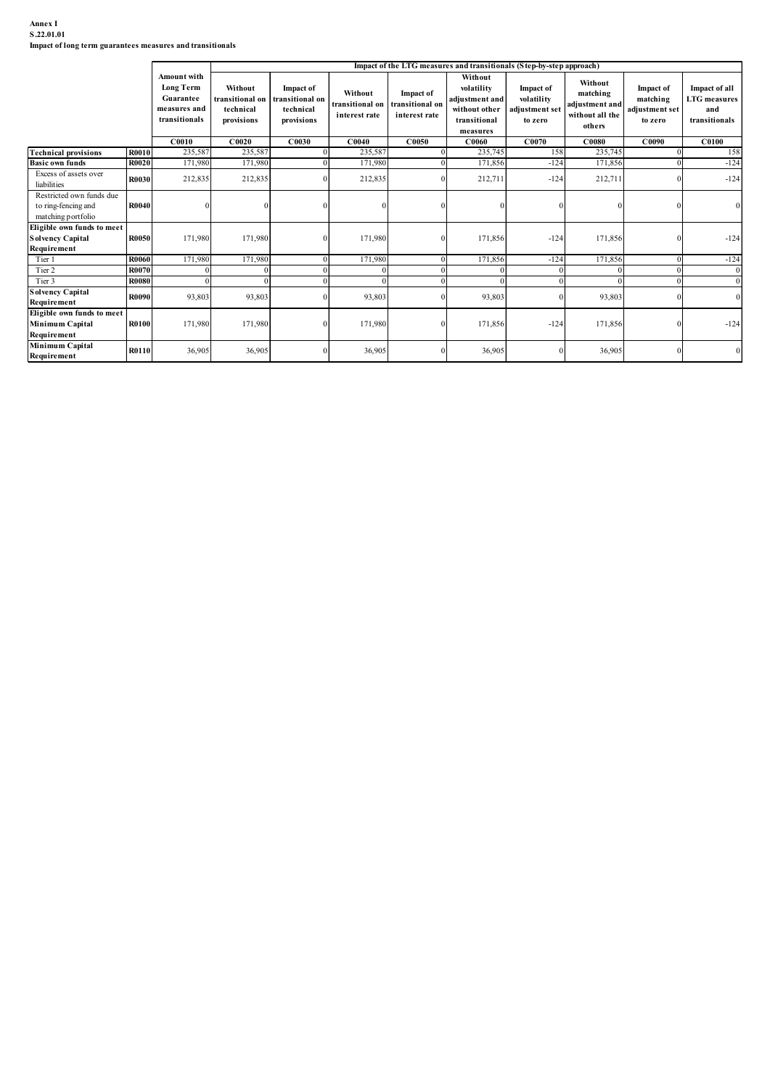# Annex I S.22.01.01

| Annex I<br>S.22.01.01<br>Impact of long term guarantees measures and transitionals             |              |                                                                               |                                                      |                                                                |                                             |                                                      |                                                                                                                                                             |                                                      |                                                                    |                                                           |                                                              |
|------------------------------------------------------------------------------------------------|--------------|-------------------------------------------------------------------------------|------------------------------------------------------|----------------------------------------------------------------|---------------------------------------------|------------------------------------------------------|-------------------------------------------------------------------------------------------------------------------------------------------------------------|------------------------------------------------------|--------------------------------------------------------------------|-----------------------------------------------------------|--------------------------------------------------------------|
|                                                                                                |              | Amount with<br><b>Long Term</b><br>Guarantee<br>measures and<br>transitionals | Without<br>ransitional on<br>technical<br>provisions | <b>Impact of</b><br>transitional on<br>technical<br>provisions | Without<br>transitional on<br>interest rate | <b>Impact of</b><br>transitional on<br>interest rate | Impact of the LTG measures and transitionals (Step-by-step approach)<br>Without<br>volatility<br>djustment and<br>without other<br>transitional<br>measures | Impact of<br>volatility<br>adjustment set<br>to zero | Without<br>matching<br>adjustment and<br>without all the<br>others | <b>Impact of</b><br>matching<br>adjustment set<br>to zero | Impact of all<br><b>LTG</b> measures<br>and<br>transitionals |
|                                                                                                |              | C0010                                                                         | C0020                                                | C0030                                                          | C0040                                       | C0050                                                | C0060                                                                                                                                                       | C0070                                                | $\bf C0080$                                                        | C0090                                                     | <b>C0100</b>                                                 |
| <b>Technical provisions</b>                                                                    | <b>R0010</b> | 235,587                                                                       | 235,587                                              |                                                                | 235,587                                     |                                                      | 235,74:                                                                                                                                                     | 158                                                  | 235,745                                                            |                                                           | 158                                                          |
| <b>Basic own funds</b>                                                                         | <b>R0020</b> | 171,980                                                                       | 171,980                                              |                                                                | 171,980                                     |                                                      | 171,856                                                                                                                                                     | $-124$                                               | 171,856                                                            |                                                           | $-124$                                                       |
| Excess of assets over<br>liabilities                                                           | R0030        | 212,835                                                                       | 212,835                                              |                                                                | 212,835                                     |                                                      | 212,711                                                                                                                                                     | $-124$                                               | 212,711                                                            |                                                           | $-124$                                                       |
| Restricted own funds due<br>to ring-fencing and<br>matching portfolio                          | R0040        |                                                                               |                                                      | $\Omega$                                                       |                                             |                                                      |                                                                                                                                                             |                                                      |                                                                    |                                                           |                                                              |
|                                                                                                |              |                                                                               | 171,980                                              | $\theta$                                                       | 171,980                                     |                                                      | 171,856                                                                                                                                                     | $-124$                                               | 171,856                                                            |                                                           | $-124$                                                       |
| Eligible own funds to meet<br>Solvency Capital<br>Requirement                                  | <b>R0050</b> | 171,980                                                                       |                                                      |                                                                |                                             |                                                      |                                                                                                                                                             |                                                      |                                                                    |                                                           |                                                              |
| Tier 1                                                                                         | R0060        | 171,980                                                                       | 171,980                                              |                                                                | 171,980                                     |                                                      | 171,856                                                                                                                                                     | $-124$                                               | 171,856                                                            |                                                           | $-124$                                                       |
| Tier 2                                                                                         | R007         |                                                                               |                                                      |                                                                |                                             |                                                      |                                                                                                                                                             |                                                      |                                                                    |                                                           |                                                              |
| Tier 3                                                                                         | <b>R0080</b> |                                                                               |                                                      |                                                                | $\Omega$                                    |                                                      |                                                                                                                                                             |                                                      | $\Omega$                                                           |                                                           |                                                              |
| <b>Solvency Capital</b>                                                                        | R0090        | 93,803                                                                        | 93,803                                               |                                                                | 93,803                                      |                                                      | 93,803                                                                                                                                                      |                                                      | 93,803                                                             |                                                           |                                                              |
| Requirement<br>Eligible own funds to meet<br>Minimum Capital<br>Requirement<br>Minimum Capital | R0100        | 171,980                                                                       | 171,980                                              | $\Omega$                                                       | 171,980                                     |                                                      | 171,856                                                                                                                                                     | $-124$                                               | 171,856                                                            |                                                           | $-124$                                                       |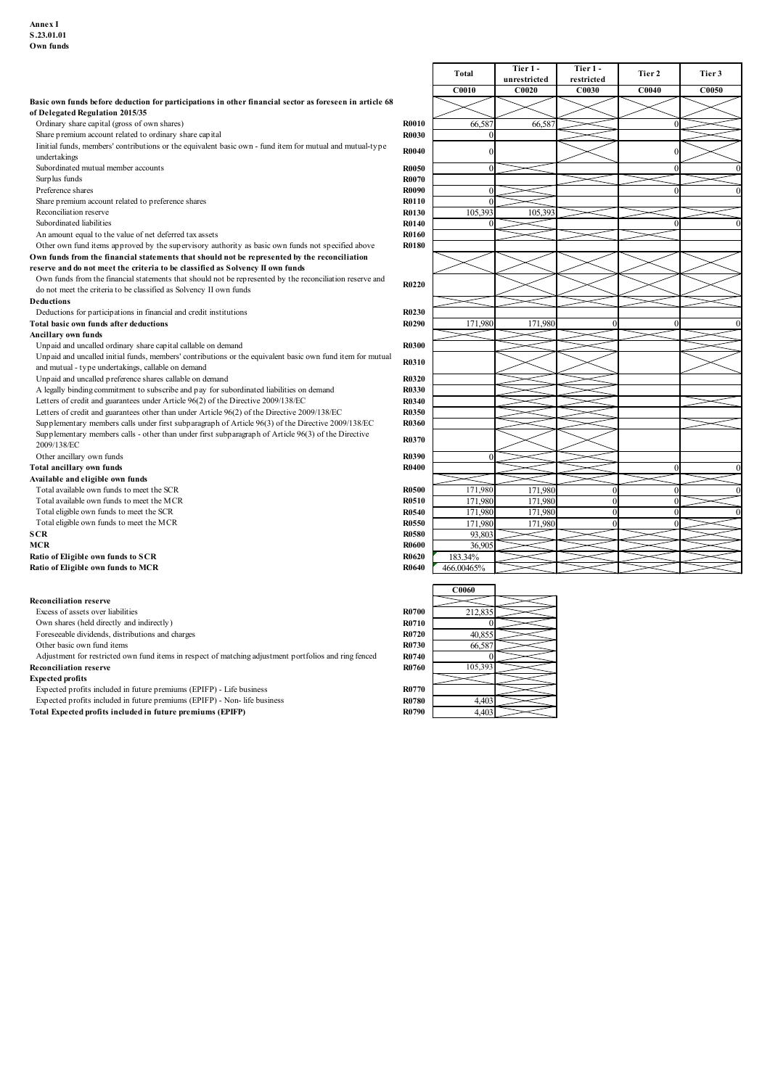|                                                                                                                                            |              | Total        | Tier 1 -     | Tier 1 -       | Tier 2            | Tier 3 |
|--------------------------------------------------------------------------------------------------------------------------------------------|--------------|--------------|--------------|----------------|-------------------|--------|
|                                                                                                                                            |              |              | unrestricted | restricted     |                   |        |
|                                                                                                                                            |              | <b>C0010</b> | C0020        | <b>C0030</b>   | CO <sub>040</sub> | C0050  |
| Basic own funds before deduction for participations in other financial sector as foreseen in article 68<br>of Delegated Regulation 2015/35 |              |              |              |                |                   |        |
| Ordinary share capital (gross of own shares)                                                                                               | <b>R0010</b> | 66,587       | 66,587       |                | $\Omega$          |        |
| Share premium account related to ordinary share capital                                                                                    | <b>R0030</b> | $\sqrt{ }$   |              |                |                   |        |
| Imitial funds, members' contributions or the equivalent basic own - fund item for mutual and mutual-type                                   |              |              |              |                |                   |        |
| undertakings                                                                                                                               | <b>R0040</b> | 0            |              |                |                   |        |
| Subordinated mutual member accounts                                                                                                        | <b>R0050</b> | $\mathbf{0}$ |              |                | $\Omega$          |        |
| Surp lus funds                                                                                                                             | <b>R0070</b> |              |              |                |                   |        |
| Preference shares                                                                                                                          | R0090        | $\Omega$     |              |                | $\Omega$          |        |
| Share premium account related to preference shares                                                                                         | R0110        | $\Omega$     |              |                |                   |        |
| Reconciliation reserve                                                                                                                     | R0130        | 105,393      | 105,393      |                |                   |        |
| Subordinated liabilities                                                                                                                   | R0140        | $\Omega$     |              |                |                   |        |
| An amount equal to the value of net deferred tax assets                                                                                    | <b>R0160</b> |              |              |                |                   |        |
| Other own fund items approved by the supervisory authority as basic own funds not specified above                                          | <b>R0180</b> |              |              |                |                   |        |
| Own funds from the financial statements that should not be represented by the reconciliation                                               |              |              |              |                |                   |        |
| reserve and do not meet the criteria to be classified as Solvency II own funds                                                             |              |              |              |                |                   |        |
| Own funds from the financial statements that should not be represented by the reconciliation reserve and                                   |              |              |              |                |                   |        |
| do not meet the criteria to be classified as Solvency II own funds                                                                         | R0220        |              |              |                |                   |        |
| <b>Deductions</b>                                                                                                                          |              |              |              |                |                   |        |
| Deductions for participations in financial and credit institutions                                                                         | R0230        |              |              |                |                   |        |
| Total basic own funds after deductions                                                                                                     | R0290        | 171,980      | 171,980      |                |                   |        |
| Ancillary own funds                                                                                                                        |              |              |              |                |                   |        |
| Unpaid and uncalled ordinary share capital callable on demand                                                                              | <b>R0300</b> |              |              |                |                   |        |
| Unpaid and uncalled initial funds, members' contributions or the equivalent basic own fund item for mutual                                 |              |              |              |                |                   |        |
| and mutual - type undertakings, callable on demand                                                                                         | R0310        |              |              |                |                   |        |
| Unpaid and uncalled preference shares callable on demand                                                                                   | R0320        |              |              |                |                   |        |
| A legally binding commitment to subscribe and pay for subordinated liabilities on demand                                                   | R0330        |              |              |                |                   |        |
| Letters of credit and guarantees under Article 96(2) of the Directive 2009/138/EC                                                          | R0340        |              |              |                |                   |        |
| Letters of credit and guarantees other than under Article 96(2) of the Directive 2009/138/EC                                               | <b>R0350</b> |              |              |                |                   |        |
| Supplementary members calls under first subparagraph of Article 96(3) of the Directive 2009/138/EC                                         | R0360        |              |              |                |                   |        |
| Supplementary members calls - other than under first subparagraph of Article 96(3) of the Directive                                        |              |              |              |                |                   |        |
| 2009/138/EC                                                                                                                                | R0370        |              |              |                |                   |        |
| Other ancillary own funds                                                                                                                  | R0390        | $\Omega$     |              |                |                   |        |
| Total ancillary own funds                                                                                                                  | <b>R0400</b> |              |              |                | $\Omega$          |        |
| Available and eligible own funds                                                                                                           |              |              |              |                |                   |        |
| Total available own funds to meet the SCR                                                                                                  | <b>R0500</b> | 171,980      | 171,980      | 0              | $\Omega$          |        |
| Total available own funds to meet the MCR                                                                                                  | R0510        | 171,980      | 171,980      | $\overline{0}$ | $\Omega$          |        |
| Total eligible own funds to meet the SCR                                                                                                   | R0540        | 171,980      | 171,980      | $\Omega$       |                   |        |
| Total eligible own funds to meet the MCR                                                                                                   | <b>R0550</b> | 171,980      | 171,980      | $\Omega$       |                   |        |
| <b>SCR</b>                                                                                                                                 | <b>R0580</b> | 93,803       |              |                |                   |        |
| <b>MCR</b>                                                                                                                                 | <b>R0600</b> | 36,905       |              |                |                   |        |
| Ratio of Eligible own funds to SCR                                                                                                         | <b>R0620</b> | 183.34%      |              |                |                   |        |
| Ratio of Eligible own funds to MCR                                                                                                         | <b>R0640</b> | 466.00465%   |              |                |                   |        |
|                                                                                                                                            |              |              |              |                |                   |        |
|                                                                                                                                            |              | C0060        |              |                |                   |        |
| <b>Reconciliation reserve</b>                                                                                                              |              |              |              |                |                   |        |
| Excess of assets over liabilities                                                                                                          | <b>R0700</b> | 212,835      |              |                |                   |        |
| Own shares (held directly and indirectly)                                                                                                  | R0710        | $\Omega$     |              |                |                   |        |
| Foreseeable dividends, distributions and charges                                                                                           | R0720        | 40,855       |              |                |                   |        |
| Other basic own fund items                                                                                                                 | R0730        | 66,587       |              |                |                   |        |
| Adjustment for restricted own fund items in respect of matching adjustment portfolios and ring fenced                                      | R0740        |              |              |                |                   |        |
| <b>Reconciliation reserve</b>                                                                                                              | R0760        | 105,393      |              |                |                   |        |

 $\Gamma$ 

٦

#### Expected profits

Expected profits included in future premiums (EPIFP) - Life business R0770

Expected profits included in future premiums (EPIFP) - Non- life business R0780 R0780 R0780 4,403 Expected profits included in future premiums (EPIFP) - Life business<br>
Expected profits included in future premiums (EPIFP) - Non- life business<br>
Total Expected profits included in future premiums (EPIFP)<br>
R0790 4,403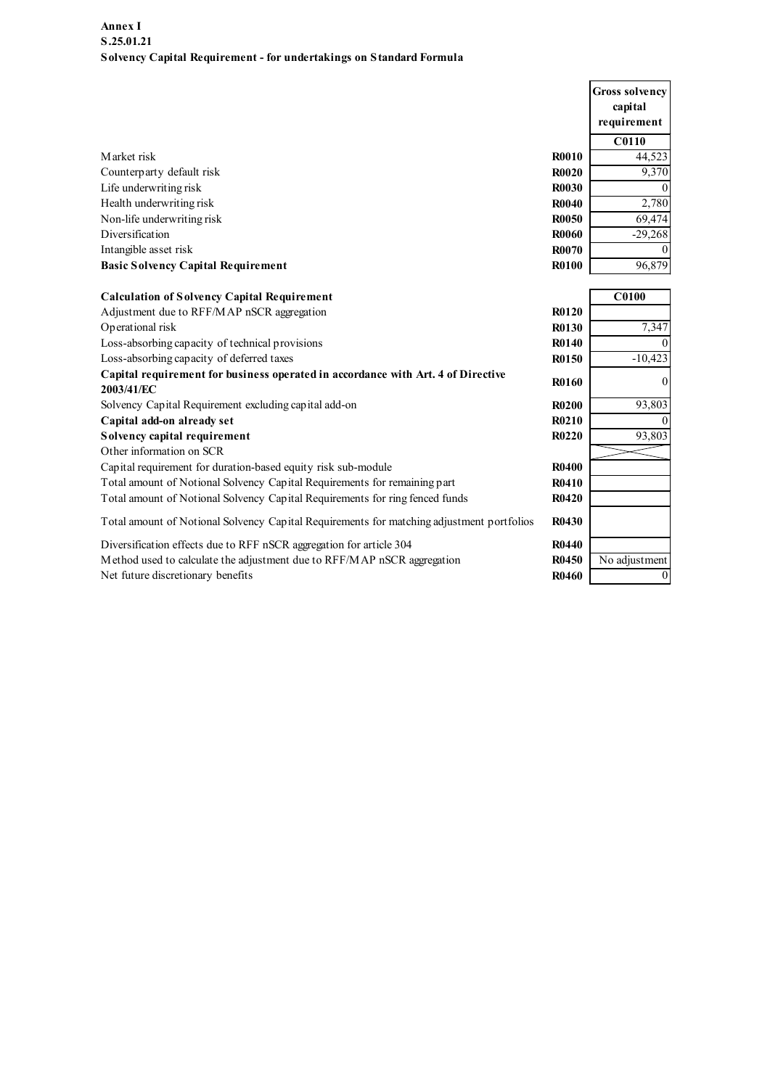| Annex I                                                                                        |              |                       |
|------------------------------------------------------------------------------------------------|--------------|-----------------------|
| S.25.01.21                                                                                     |              |                       |
| Solvency Capital Requirement - for undertakings on Standard Formula                            |              |                       |
|                                                                                                |              | <b>Gross solvency</b> |
|                                                                                                |              | capital               |
|                                                                                                |              | requirement           |
|                                                                                                |              | C0110                 |
| Market risk                                                                                    | <b>R0010</b> | 44,523                |
| Counterparty default risk                                                                      | <b>R0020</b> | 9,370                 |
| Life underwriting risk                                                                         | <b>R0030</b> |                       |
| Health underwriting risk                                                                       | R0040        | 2,780                 |
| Non-life underwriting risk                                                                     | <b>R0050</b> | 69,474                |
| Diversification                                                                                | <b>R0060</b> | $-29,268$             |
| Intangible asset risk                                                                          | R0070        |                       |
| <b>Basic Solvency Capital Requirement</b>                                                      | <b>R0100</b> | 96,879                |
| <b>Calculation of Solvency Capital Requirement</b>                                             |              | <b>C0100</b>          |
| Adjustment due to RFF/MAP nSCR aggregation                                                     | R0120        |                       |
| Operational risk                                                                               | R0130        | 7,347                 |
| Loss-absorbing capacity of technical provisions                                                | R0140        |                       |
| Loss-absorbing capacity of deferred taxes                                                      | R0150        | $-10,423$             |
| Capital requirement for business operated in accordance with Art. 4 of Directive<br>2003/41/EC | <b>R0160</b> |                       |
| Solvency Capital Requirement excluding capital add-on                                          | <b>R0200</b> | 93,803                |
| Capital add-on already set                                                                     | R0210        |                       |
| Solvency capital requirement                                                                   | R0220        | 93,803                |
| Other information on SCR                                                                       |              |                       |
| Capital requirement for duration-based equity risk sub-module                                  | <b>R0400</b> |                       |
| Total amount of Notional Solvency Capital Requirements for remaining part                      | R0410        |                       |
| Total amount of Notional Solvency Capital Requirements for ring fenced funds                   | R0420        |                       |
| Total amount of Notional Solvency Capital Requirements for matching adjustment portfolios      | R0430        |                       |
| Diversification effects due to RFF nSCR aggregation for article 304                            | R0440        |                       |
| Method used to calculate the adjustment due to RFF/MAP nSCR aggregation                        | R0450        | No adjustment         |
| Net future discretionary benefits                                                              | R0460        | $\theta$              |